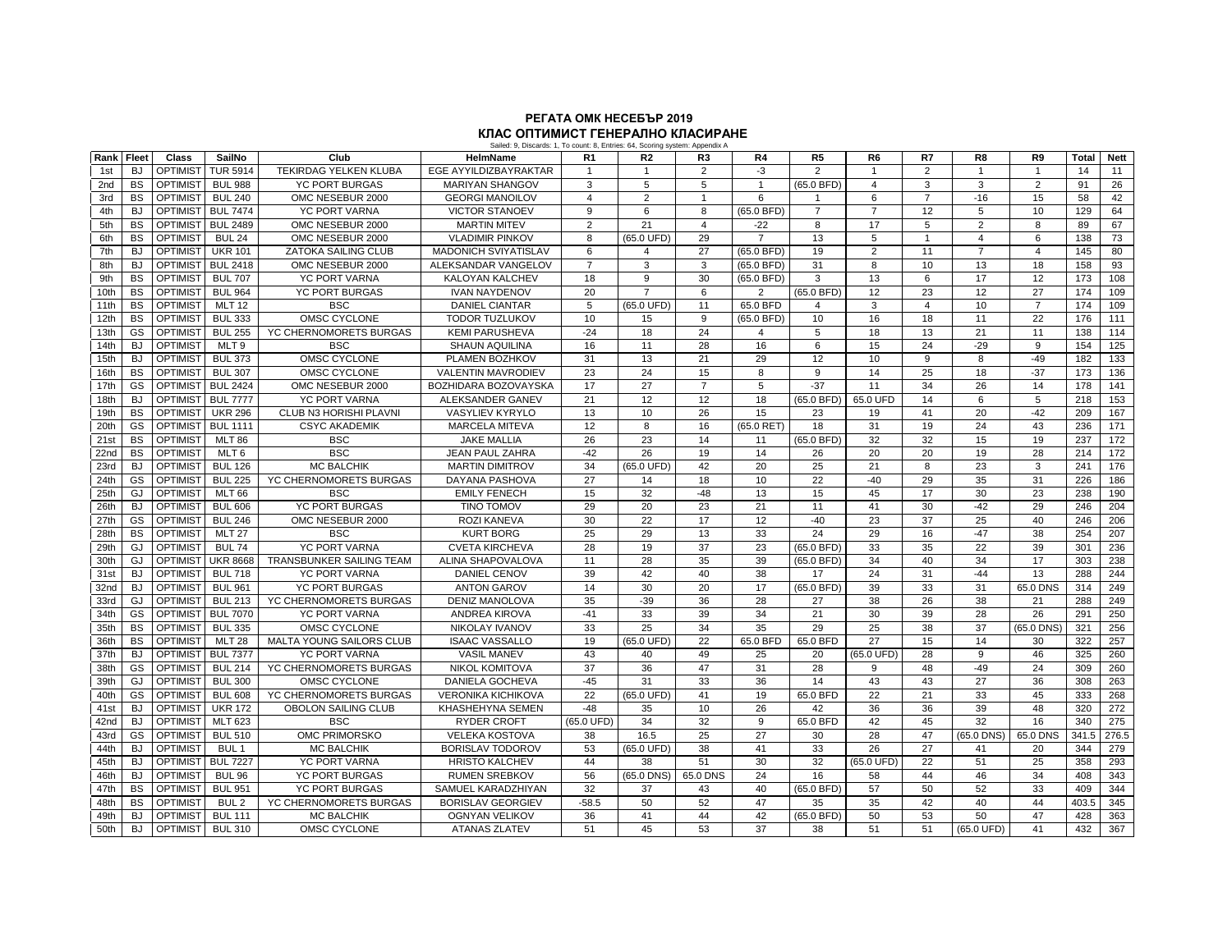## **РЕГАТА ОМК НЕСЕБЪР 2019 КЛАС ОПТИМИСТ ГЕНЕРАЛНО КЛАСИРАНЕ**

|      | Sailed: 9, Discards: 1, To count: 8, Entries: 64, Scoring system: Appendix A |                 |                  |                                 |                             |                 |                      |                 |                |                         |                |                |                 |                |              |             |
|------|------------------------------------------------------------------------------|-----------------|------------------|---------------------------------|-----------------------------|-----------------|----------------------|-----------------|----------------|-------------------------|----------------|----------------|-----------------|----------------|--------------|-------------|
| Rank | Fleet                                                                        | Class           | SailNo           | Club                            | <b>HelmName</b>             | R <sub>1</sub>  | R2                   | R <sub>3</sub>  | R4             | R <sub>5</sub>          | R <sub>6</sub> | R7             | R8              | R9             | <b>Total</b> | <b>Nett</b> |
| 1st  | BJ                                                                           | <b>OPTIMIST</b> | <b>TUR 5914</b>  | <b>TEKIRDAG YELKEN KLUBA</b>    | EGE AYYILDIZBAYRAKTAR       |                 |                      | $\overline{2}$  | $-3$           | $\mathfrak{p}$          |                | $\overline{2}$ |                 |                | 14           | 11          |
| 2nd  | <b>BS</b>                                                                    | <b>OPTIMIST</b> | <b>BUL 988</b>   | <b>YC PORT BURGAS</b>           | <b>MARIYAN SHANGOV</b>      | 3               | 5                    | 5               | $\overline{1}$ | (65.0 BFD)              | $\overline{4}$ | 3              | 3               | $\overline{2}$ | 91           | 26          |
| 3rd  | <b>BS</b>                                                                    | <b>OPTIMIST</b> | <b>BUL 240</b>   | OMC NESEBUR 2000                | <b>GEORGI MANOILOV</b>      | $\overline{4}$  | 2                    | $\overline{1}$  | 6              |                         | 6              | $\overline{7}$ | $-16$           | 15             | 58           | 42          |
| 4th  | BJ                                                                           | <b>OPTIMIST</b> | <b>BUL 7474</b>  | <b>YC PORT VARNA</b>            | <b>VICTOR STANOEV</b>       | 9               | 6                    | 8               | (65.0 BFD)     | $\overline{7}$          | $\overline{7}$ | 12             | 5               | 10             | 129          | 64          |
| 5th  | <b>BS</b>                                                                    | <b>OPTIMIST</b> | <b>BUL 2489</b>  | OMC NESEBUR 2000                | <b>MARTIN MITEV</b>         | $\overline{2}$  | 21                   | $\overline{4}$  | $-22$          | 8                       | 17             | 5              | 2               | 8              | 89           | 67          |
| 6th  | <b>BS</b>                                                                    | <b>OPTIMIST</b> | <b>BUL 24</b>    | OMC NESEBUR 2000                | <b>VLADIMIR PINKOV</b>      | 8               | (65.0 UFD)           | 29              | $\overline{7}$ | 13                      | 5              | $\mathbf{1}$   | $\overline{4}$  | 6              | 138          | 73          |
| 7th  | <b>BJ</b>                                                                    | <b>OPTIMIST</b> | <b>UKR 101</b>   | <b>ZATOKA SAILING CLUB</b>      | <b>MADONICH SVIYATISLAV</b> | 6               | $\overline{4}$       | 27              | (65.0 BFD)     | 19                      | $\overline{2}$ | 11             | $\overline{7}$  | $\overline{4}$ | 145          | 80          |
| 8th  | <b>BJ</b>                                                                    | <b>OPTIMIST</b> | <b>BUL 2418</b>  | OMC NESEBUR 2000                | ALEKSANDAR VANGELOV         | $\overline{7}$  | 3                    | 3               | (65.0 BFD)     | 31                      | 8              | 10             | 13              | 18             | 158          | 93          |
| 9th  | <b>BS</b>                                                                    | <b>OPTIMIST</b> | <b>BUL 707</b>   | <b>YC PORT VARNA</b>            | <b>KALOYAN KALCHEV</b>      | 18              | 9                    | 30              | $(65.0$ BFD)   | 3                       | 13             | 6              | 17              | 12             | 173          | 108         |
| 10th | <b>BS</b>                                                                    | <b>OPTIMIST</b> | <b>BUL 964</b>   | <b>YC PORT BURGAS</b>           | <b>IVAN NAYDENOV</b>        | 20              | $\overline{7}$       | 6               | $\overline{2}$ | (65.0 BFD)              | 12             | 23             | 12              | 27             | 174          | 109         |
| 11th | <b>BS</b>                                                                    | <b>OPTIMIST</b> | <b>MLT 12</b>    | <b>BSC</b>                      | <b>DANIEL CIANTAR</b>       | 5               | $(65.0 \text{ UFD})$ | 11              | 65.0 BFD       | $\overline{\mathbf{4}}$ | 3              | $\overline{4}$ | 10              | $\overline{7}$ | 174          | 109         |
| 12th | <b>BS</b>                                                                    | <b>OPTIMIST</b> | <b>BUL 333</b>   | OMSC CYCLONE                    | <b>TODOR TUZLUKOV</b>       | 10              | 15                   | 9               | (65.0 BFD)     | 10                      | 16             | 18             | 11              | 22             | 176          | 111         |
| 13th | GS                                                                           | <b>OPTIMIST</b> | <b>BUL 255</b>   | YC CHERNOMORETS BURGAS          | <b>KEMI PARUSHEVA</b>       | $-24$           | 18                   | 24              | 4              | 5                       | 18             | 13             | 21              | 11             | 138          | 114         |
| 14th | <b>BJ</b>                                                                    | <b>OPTIMIST</b> | MLT <sub>9</sub> | <b>BSC</b>                      | <b>SHAUN AQUILINA</b>       | 16              | 11                   | 28              | 16             | 6                       | 15             | 24             | $-29$           | 9              | 154          | 125         |
| 15th | <b>BJ</b>                                                                    | <b>OPTIMIST</b> | <b>BUL 373</b>   | OMSC CYCLONE                    | PLAMEN BOZHKOV              | 31              | 13                   | 21              | 29             | 12                      | 10             | 9              | 8               | $-49$          | 182          | 133         |
| 16th | <b>BS</b>                                                                    | <b>OPTIMIST</b> | <b>BUL 307</b>   | OMSC CYCLONE                    | <b>VALENTIN MAVRODIEV</b>   | 23              | 24                   | 15              | 8              | 9                       | 14             | 25             | 18              | $-37$          | 173          | 136         |
| 17th | GS                                                                           | <b>OPTIMIST</b> | <b>BUL 2424</b>  | OMC NESEBUR 2000                | BOZHIDARA BOZOVAYSKA        | 17              | 27                   | $\overline{7}$  | 5              | $-37$                   | 11             | 34             | $\overline{26}$ | 14             | 178          | 141         |
| 18th | BJ                                                                           | <b>OPTIMIST</b> | <b>BUL 7777</b>  | <b>YC PORT VARNA</b>            | ALEKSANDER GANEV            | 21              | 12                   | $\overline{12}$ | 18             | (65.0 BFD)              | 65.0 UFD       | 14             | $6\overline{6}$ | $\overline{5}$ | 218          | 153         |
| 19th | <b>BS</b>                                                                    | <b>OPTIMIST</b> | <b>UKR 296</b>   | <b>CLUB N3 HORISHI PLAVNI</b>   | <b>VASYLIEV KYRYLO</b>      | 13              | 10                   | 26              | 15             | 23                      | 19             | 41             | 20              | $-42$          | 209          | 167         |
| 20th | GS                                                                           | <b>OPTIMIST</b> | <b>BUL 1111</b>  | <b>CSYC AKADEMIK</b>            | <b>MARCELA MITEVA</b>       | 12              | 8                    | 16              | $(65.0$ RET)   | 18                      | 31             | 19             | 24              | 43             | 236          | 171         |
| 21st | <b>BS</b>                                                                    | <b>OPTIMIST</b> | <b>MLT 86</b>    | <b>BSC</b>                      | <b>JAKE MALLIA</b>          | 26              | 23                   | 14              | 11             | $(65.0$ BFD)            | 32             | 32             | 15              | 19             | 237          | 172         |
| 22nd | BS                                                                           | <b>OPTIMIST</b> | MLT <sub>6</sub> | <b>BSC</b>                      | <b>JEAN PAUL ZAHRA</b>      | $-42$           | 26                   | 19              | 14             | 26                      | 20             | 20             | 19              | 28             | 214          | 172         |
| 23rd | <b>BJ</b>                                                                    | <b>OPTIMIST</b> | <b>BUL 126</b>   | <b>MC BALCHIK</b>               | <b>MARTIN DIMITROV</b>      | 34              | (65.0 UFD)           | 42              | 20             | 25                      | 21             | 8              | 23              | 3              | 241          | 176         |
| 24th | GS                                                                           | <b>OPTIMIST</b> | <b>BUL 225</b>   | YC CHERNOMORETS BURGAS          | DAYANA PASHOVA              | 27              | 14                   | 18              | 10             | 22                      | $-40$          | 29             | 35              | 31             | 226          | 186         |
| 25th | GJ                                                                           | <b>OPTIMIST</b> | <b>MLT 66</b>    | <b>BSC</b>                      | <b>EMILY FENECH</b>         | 15              | 32                   | $-48$           | 13             | 15                      | 45             | 17             | 30              | 23             | 238          | 190         |
| 26th | <b>BJ</b>                                                                    | <b>OPTIMIST</b> | <b>BUL 606</b>   | <b>YC PORT BURGAS</b>           | <b>TINO TOMOV</b>           | 29              | 20                   | 23              | 21             | 11                      | 41             | 30             | $-42$           | 29             | 246          | 204         |
| 27th | GS                                                                           | <b>OPTIMIST</b> | <b>BUL 246</b>   | OMC NESEBUR 2000                | <b>ROZI KANEVA</b>          | 30              | 22                   | 17              | 12             | $-40$                   | 23             | 37             | 25              | 40             | 246          | 206         |
| 28th | <b>BS</b>                                                                    | <b>OPTIMIST</b> | <b>MLT 27</b>    | <b>BSC</b>                      | <b>KURT BORG</b>            | 25              | 29                   | 13              | 33             | 24                      | 29             | 16             | $-47$           | 38             | 254          | 207         |
| 29th | GJ                                                                           | <b>OPTIMIST</b> | <b>BUL 74</b>    | <b>YC PORT VARNA</b>            | <b>CVETA KIRCHEVA</b>       | 28              | 19                   | 37              | 23             | (65.0 BFD)              | 33             | 35             | 22              | 39             | 301          | 236         |
| 30th | GJ                                                                           | <b>OPTIMIST</b> | <b>UKR 8668</b>  | TRANSBUNKER SAILING TEAM        | ALINA SHAPOVALOVA           | 11              | 28                   | 35              | 39             | (65.0 BFD)              | 34             | 40             | 34              | 17             | 303          | 238         |
| 31st | <b>BJ</b>                                                                    | <b>OPTIMIST</b> | <b>BUL 718</b>   | YC PORT VARNA                   | DANIEL CENOV                | 39              | 42                   | 40              | 38             | 17                      | 24             | 31             | $-44$           | 13             | 288          | 244         |
| 32nd | <b>BJ</b>                                                                    | <b>OPTIMIST</b> | <b>BUL 961</b>   | <b>YC PORT BURGAS</b>           | <b>ANTON GAROV</b>          | 14              | 30                   | 20              | 17             | (65.0 BFD)              | 39             | 33             | 31              | 65.0 DNS       | 314          | 249         |
| 33rd | GJ                                                                           | <b>OPTIMIST</b> | <b>BUL 213</b>   | YC CHERNOMORETS BURGAS          | <b>DENIZ MANOLOVA</b>       | 35              | $-39$                | 36              | 28             | 27                      | 38             | 26             | 38              | 21             | 288          | 249         |
| 34th | GS                                                                           | <b>OPTIMIST</b> | <b>BUL 7070</b>  | <b>YC PORT VARNA</b>            | <b>ANDREA KIROVA</b>        | $-41$           | 33                   | 39              | 34             | 21                      | 30             | 39             | 28              | 26             | 291          | 250         |
| 35th | <b>BS</b>                                                                    | <b>OPTIMIST</b> | <b>BUL 335</b>   | OMSC CYCLONE                    | <b>NIKOLAY IVANOV</b>       | 33              | 25                   | 34              | 35             | 29                      | 25             | 38             | 37              | $(65.0$ DNS)   | 321          | 256         |
| 36th | <b>BS</b>                                                                    | OPTIMIST        | <b>MLT 28</b>    | <b>MALTA YOUNG SAILORS CLUB</b> | <b>ISAAC VASSALLO</b>       | 19              | (65.0 UFD)           | 22              | 65.0 BFD       | 65.0 BFD                | 27             | 15             | 14              | 30             | 322          | 257         |
| 37th | BJ                                                                           | <b>OPTIMIST</b> | <b>BUL 7377</b>  | <b>YC PORT VARNA</b>            | <b>VASIL MANEV</b>          | 43              | 40                   | 49              | 25             | 20                      | (65.0 UFD)     | 28             | 9               | 46             | 325          | 260         |
| 38th | GS                                                                           | <b>OPTIMIST</b> | <b>BUL 214</b>   | YC CHERNOMORETS BURGAS          | <b>NIKOL KOMITOVA</b>       | 37              | 36                   | 47              | 31             | 28                      | $\mathbf{q}$   | 48             | $-49$           | 24             | 309          | 260         |
| 39th | GJ                                                                           | <b>OPTIMIST</b> | <b>BUL 300</b>   | <b>OMSC CYCLONE</b>             | <b>DANIELA GOCHEVA</b>      | $-45$           | 31                   | 33              | 36             | 14                      | 43             | 43             | 27              | 36             | 308          | 263         |
| 40th | GS                                                                           | <b>OPTIMIST</b> | <b>BUL 608</b>   | YC CHERNOMORETS BURGAS          | <b>VERONIKA KICHIKOVA</b>   | $\overline{22}$ | (65.0 UFD)           | 41              | 19             | 65.0 BFD                | 22             | 21             | 33              | 45             | 333          | 268         |
| 41st | <b>BJ</b>                                                                    | <b>OPTIMIST</b> | <b>UKR 172</b>   | <b>OBOLON SAILING CLUB</b>      | <b>KHASHEHYNA SEMEN</b>     | $-48$           | 35                   | 10              | 26             | 42                      | 36             | 36             | 39              | 48             | 320          | 272         |
| 42nd | <b>BJ</b>                                                                    | <b>OPTIMIST</b> | <b>MLT 623</b>   | <b>BSC</b>                      | <b>RYDER CROFT</b>          | (65.0 UFD)      | 34                   | 32              | 9              | 65.0 BFD                | 42             | 45             | 32              | 16             | 340          | 275         |
| 43rd | GS                                                                           | <b>OPTIMIST</b> | <b>BUL 510</b>   | OMC PRIMORSKO                   | <b>VELEKA KOSTOVA</b>       | 38              | 16.5                 | 25              | 27             | 30                      | 28             | 47             | (65.0 DNS)      | 65.0 DNS       | 341.5        | 276.5       |
| 44th | <b>BJ</b>                                                                    | <b>OPTIMIST</b> | BUL <sub>1</sub> | <b>MC BALCHIK</b>               | <b>BORISLAV TODOROV</b>     | 53              | (65.0 UFD)           | 38              | 41             | 33                      | 26             | 27             | 41              | 20             | 344          | 279         |
| 45th | <b>BJ</b>                                                                    | <b>OPTIMIST</b> | <b>BUL 7227</b>  | <b>YC PORT VARNA</b>            | <b>HRISTO KALCHEV</b>       | 44              | 38                   | 51              | 30             | 32                      | (65.0 UFD)     | 22             | 51              | 25             | 358          | 293         |
| 46th | BJ                                                                           | <b>OPTIMIST</b> | <b>BUL 96</b>    | <b>YC PORT BURGAS</b>           | <b>RUMEN SREBKOV</b>        | 56              | $(65.0$ DNS)         | 65.0 DNS        | 24             | 16                      | 58             | 44             | 46              | 34             | 408          | 343         |
| 47th | <b>BS</b>                                                                    | <b>OPTIMIST</b> | <b>BUL 951</b>   | <b>YC PORT BURGAS</b>           | SAMUEL KARADZHIYAN          | 32              | 37                   | 43              | 40             | (65.0 BFD)              | 57             | 50             | 52              | 33             | 409          | 344         |
| 48th | <b>BS</b>                                                                    | <b>OPTIMIST</b> | BUL <sub>2</sub> | YC CHERNOMORETS BURGAS          | <b>BORISLAV GEORGIEV</b>    | $-58.5$         | 50                   | 52              | 47             | 35                      | 35             | 42             | 40              | 44             | 403.5        | 345         |
| 49th | <b>BJ</b>                                                                    | <b>OPTIMIST</b> | <b>BUL 111</b>   | <b>MC BALCHIK</b>               | <b>OGNYAN VELIKOV</b>       | 36              | 41                   | 44              | 42             | (65.0 BFD)              | 50             | 53             | 50              | 47             | 428          | 363         |
| 50th | <b>BJ</b>                                                                    | <b>OPTIMIST</b> | <b>BUL 310</b>   | OMSC CYCLONE                    | <b>ATANAS ZLATEV</b>        | 51              | 45                   | 53              | 37             | 38                      | 51             | 51             | (65.0 UFD)      | 41             | 432          | 367         |